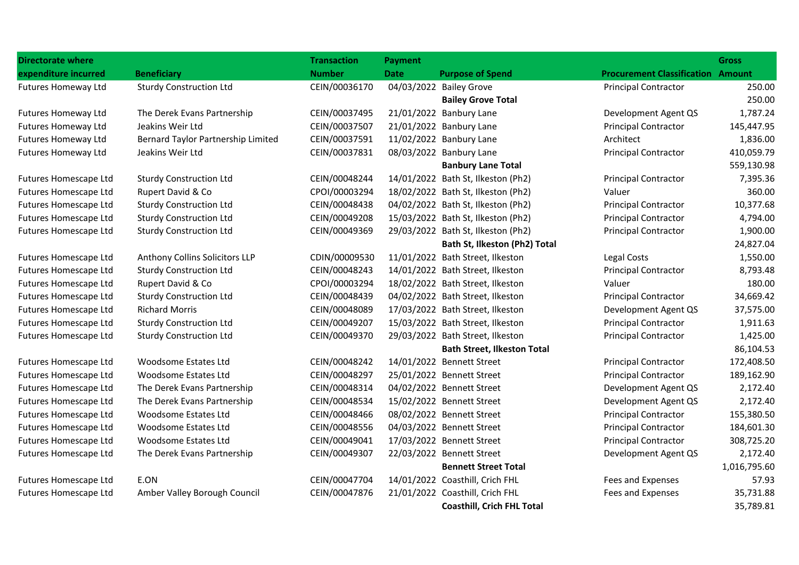| <b>Directorate where</b>     |                                    | <b>Transaction</b> | <b>Payment</b> |                                      |                                          | <b>Gross</b> |
|------------------------------|------------------------------------|--------------------|----------------|--------------------------------------|------------------------------------------|--------------|
| expenditure incurred         | <b>Beneficiary</b>                 | <b>Number</b>      | <b>Date</b>    | <b>Purpose of Spend</b>              | <b>Procurement Classification Amount</b> |              |
| <b>Futures Homeway Ltd</b>   | <b>Sturdy Construction Ltd</b>     | CEIN/00036170      |                | 04/03/2022 Bailey Grove              | <b>Principal Contractor</b>              | 250.00       |
|                              |                                    |                    |                | <b>Bailey Grove Total</b>            |                                          | 250.00       |
| <b>Futures Homeway Ltd</b>   | The Derek Evans Partnership        | CEIN/00037495      |                | 21/01/2022 Banbury Lane              | Development Agent QS                     | 1,787.24     |
| <b>Futures Homeway Ltd</b>   | Jeakins Weir Ltd                   | CEIN/00037507      |                | 21/01/2022 Banbury Lane              | <b>Principal Contractor</b>              | 145,447.95   |
| <b>Futures Homeway Ltd</b>   | Bernard Taylor Partnership Limited | CEIN/00037591      |                | 11/02/2022 Banbury Lane              | Architect                                | 1,836.00     |
| <b>Futures Homeway Ltd</b>   | Jeakins Weir Ltd                   | CEIN/00037831      |                | 08/03/2022 Banbury Lane              | <b>Principal Contractor</b>              | 410,059.79   |
|                              |                                    |                    |                | <b>Banbury Lane Total</b>            |                                          | 559,130.98   |
| Futures Homescape Ltd        | <b>Sturdy Construction Ltd</b>     | CEIN/00048244      |                | 14/01/2022 Bath St, Ilkeston (Ph2)   | <b>Principal Contractor</b>              | 7,395.36     |
| Futures Homescape Ltd        | Rupert David & Co                  | CPOI/00003294      |                | 18/02/2022 Bath St, Ilkeston (Ph2)   | Valuer                                   | 360.00       |
| Futures Homescape Ltd        | <b>Sturdy Construction Ltd</b>     | CEIN/00048438      |                | 04/02/2022 Bath St, Ilkeston (Ph2)   | <b>Principal Contractor</b>              | 10,377.68    |
| Futures Homescape Ltd        | <b>Sturdy Construction Ltd</b>     | CEIN/00049208      |                | 15/03/2022 Bath St, Ilkeston (Ph2)   | <b>Principal Contractor</b>              | 4,794.00     |
| Futures Homescape Ltd        | <b>Sturdy Construction Ltd</b>     | CEIN/00049369      |                | 29/03/2022 Bath St, Ilkeston (Ph2)   | <b>Principal Contractor</b>              | 1,900.00     |
|                              |                                    |                    |                | <b>Bath St, Ilkeston (Ph2) Total</b> |                                          | 24,827.04    |
| Futures Homescape Ltd        | Anthony Collins Solicitors LLP     | CDIN/00009530      |                | 11/01/2022 Bath Street, Ilkeston     | Legal Costs                              | 1,550.00     |
| Futures Homescape Ltd        | <b>Sturdy Construction Ltd</b>     | CEIN/00048243      |                | 14/01/2022 Bath Street, Ilkeston     | <b>Principal Contractor</b>              | 8,793.48     |
| <b>Futures Homescape Ltd</b> | Rupert David & Co                  | CPOI/00003294      |                | 18/02/2022 Bath Street, Ilkeston     | Valuer                                   | 180.00       |
| Futures Homescape Ltd        | <b>Sturdy Construction Ltd</b>     | CEIN/00048439      |                | 04/02/2022 Bath Street, Ilkeston     | <b>Principal Contractor</b>              | 34,669.42    |
| Futures Homescape Ltd        | <b>Richard Morris</b>              | CEIN/00048089      |                | 17/03/2022 Bath Street, Ilkeston     | Development Agent QS                     | 37,575.00    |
| Futures Homescape Ltd        | <b>Sturdy Construction Ltd</b>     | CEIN/00049207      |                | 15/03/2022 Bath Street, Ilkeston     | <b>Principal Contractor</b>              | 1,911.63     |
| Futures Homescape Ltd        | <b>Sturdy Construction Ltd</b>     | CEIN/00049370      |                | 29/03/2022 Bath Street, Ilkeston     | <b>Principal Contractor</b>              | 1,425.00     |
|                              |                                    |                    |                | <b>Bath Street, Ilkeston Total</b>   |                                          | 86,104.53    |
| Futures Homescape Ltd        | Woodsome Estates Ltd               | CEIN/00048242      |                | 14/01/2022 Bennett Street            | <b>Principal Contractor</b>              | 172,408.50   |
| Futures Homescape Ltd        | Woodsome Estates Ltd               | CEIN/00048297      |                | 25/01/2022 Bennett Street            | <b>Principal Contractor</b>              | 189,162.90   |
| Futures Homescape Ltd        | The Derek Evans Partnership        | CEIN/00048314      |                | 04/02/2022 Bennett Street            | Development Agent QS                     | 2,172.40     |
| Futures Homescape Ltd        | The Derek Evans Partnership        | CEIN/00048534      |                | 15/02/2022 Bennett Street            | Development Agent QS                     | 2,172.40     |
| Futures Homescape Ltd        | Woodsome Estates Ltd               | CEIN/00048466      |                | 08/02/2022 Bennett Street            | <b>Principal Contractor</b>              | 155,380.50   |
| Futures Homescape Ltd        | Woodsome Estates Ltd               | CEIN/00048556      |                | 04/03/2022 Bennett Street            | <b>Principal Contractor</b>              | 184,601.30   |
| <b>Futures Homescape Ltd</b> | Woodsome Estates Ltd               | CEIN/00049041      |                | 17/03/2022 Bennett Street            | <b>Principal Contractor</b>              | 308,725.20   |
| Futures Homescape Ltd        | The Derek Evans Partnership        | CEIN/00049307      |                | 22/03/2022 Bennett Street            | Development Agent QS                     | 2,172.40     |
|                              |                                    |                    |                | <b>Bennett Street Total</b>          |                                          | 1,016,795.60 |
| Futures Homescape Ltd        | E.ON                               | CEIN/00047704      |                | 14/01/2022 Coasthill, Crich FHL      | Fees and Expenses                        | 57.93        |
| Futures Homescape Ltd        | Amber Valley Borough Council       | CEIN/00047876      |                | 21/01/2022 Coasthill, Crich FHL      | Fees and Expenses                        | 35,731.88    |
|                              |                                    |                    |                | <b>Coasthill, Crich FHL Total</b>    |                                          | 35,789.81    |